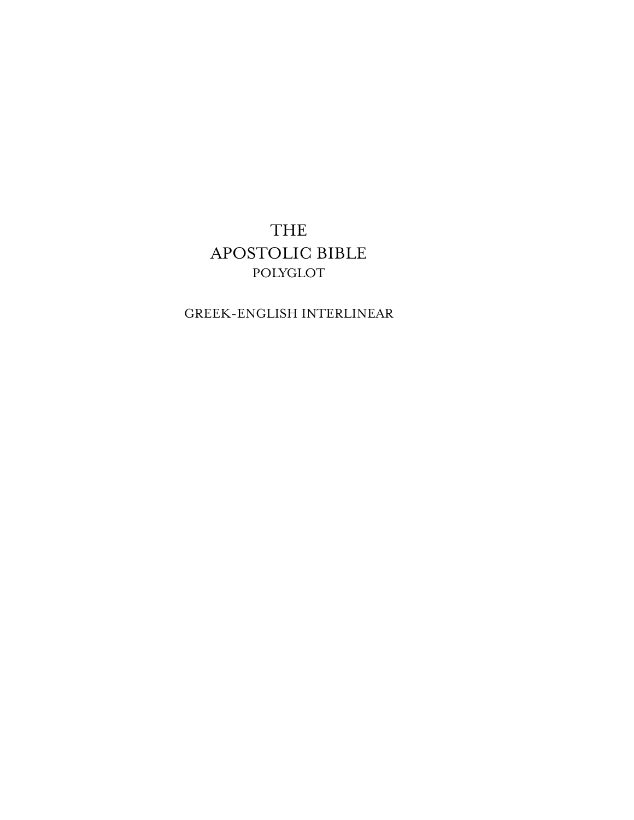# THE APOSTOLIC BIBLE POLYGLOT

# GREEK-ENGLISH INTERLINEAR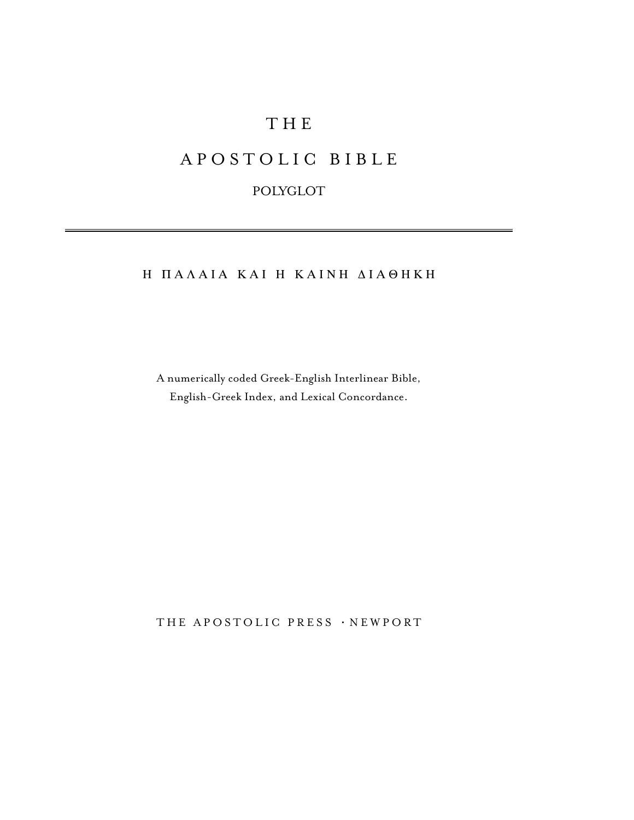# THE

# APOSTOLIC BIBLE

# POLYGLOT

# H ΠΑΛΑΙΑ ΚΑΙ Η ΚΑΙΝΗ ΔΙΑΘΗΚΗ

A numerically coded Greek-English Interlinear Bible, English-Greek Index, and Lexical Concordance.

THE APOSTOLIC PRESS · NEWPORT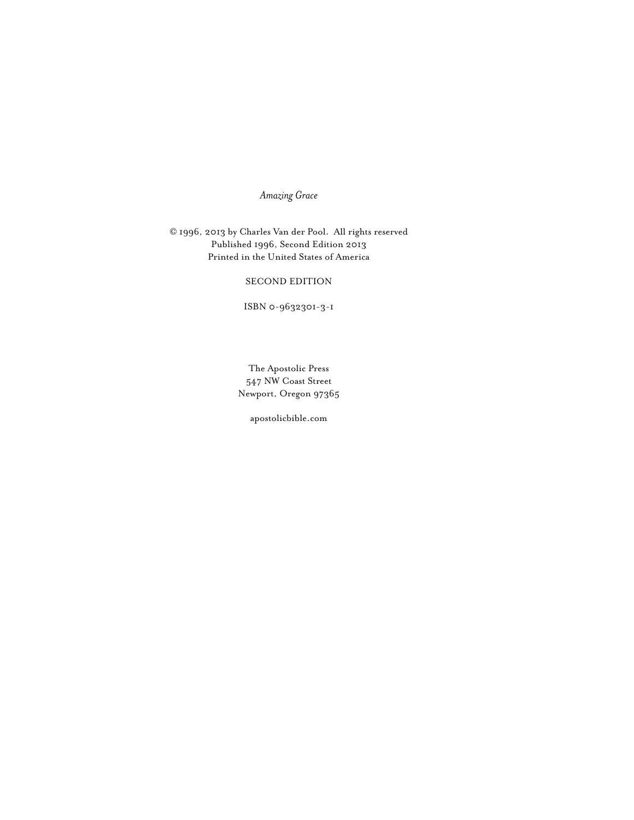# *Amazing Grace*

## © 1996, 2013 by Charles Van der Pool. All rights reserved Published 1996, Second Edition 2013 Printed in the United States of America

## SECOND EDITION

ISBN 0-9632301-3-1

The Apostolic Press 547 NW Coast Street Newport, Oregon 97365

apostolicbible.com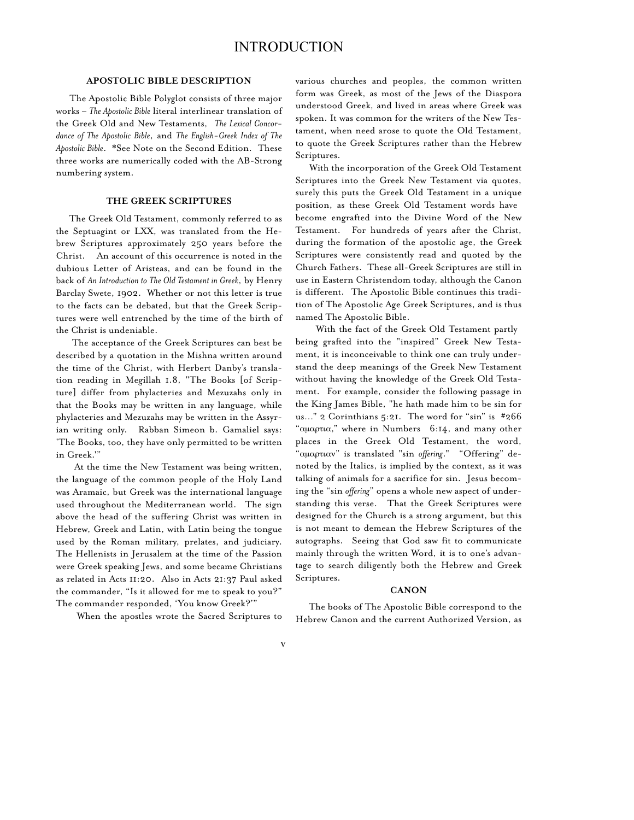# INTRODUCTION

### **APOSTOLIC BIBLE DESCRIPTION**

 The Apostolic Bible Polyglot consists of three major works – *The Apostolic Bible* literal interlinear translation of the Greek Old and New Testaments, *The Lexical Concordance of The Apostolic Bible*, and *The English-Greek Index of The Apostolic Bible*. \*See Note on the Second Edition. These three works are numerically coded with the AB-Strong numbering system.

#### **THE GREEK SCRIPTURES**

 The Greek Old Testament, commonly referred to as the Septuagint or LXX, was translated from the Hebrew Scriptures approximately 250 years before the Christ. An account of this occurrence is noted in the dubious Letter of Aristeas, and can be found in the back of *An Introduction to The Old Testament in Greek*, by Henry Barclay Swete, 1902. Whether or not this letter is true to the facts can be debated, but that the Greek Scriptures were well entrenched by the time of the birth of the Christ is undeniable.

 The acceptance of the Greek Scriptures can best be described by a quotation in the Mishna written around the time of the Christ, with Herbert Danby's translation reading in Megillah 1.8, "The Books [of Scripture] differ from phylacteries and Mezuzahs only in that the Books may be written in any language, while phylacteries and Mezuzahs may be written in the Assyrian writing only. Rabban Simeon b. Gamaliel says: 'The Books, too, they have only permitted to be written in Greek.'"

 At the time the New Testament was being written, the language of the common people of the Holy Land was Aramaic, but Greek was the international language used throughout the Mediterranean world. The sign above the head of the suffering Christ was written in Hebrew, Greek and Latin, with Latin being the tongue used by the Roman military, prelates, and judiciary. The Hellenists in Jerusalem at the time of the Passion were Greek speaking Jews, and some became Christians as related in Acts 11:20. Also in Acts 21:37 Paul asked the commander, "Is it allowed for me to speak to you?" The commander responded, 'You know Greek?'"

When the apostles wrote the Sacred Scriptures to

various churches and peoples, the common written form was Greek, as most of the Jews of the Diaspora understood Greek, and lived in areas where Greek was spoken. It was common for the writers of the New Testament, when need arose to quote the Old Testament, to quote the Greek Scriptures rather than the Hebrew Scriptures.

 With the incorporation of the Greek Old Testament Scriptures into the Greek New Testament via quotes, surely this puts the Greek Old Testament in a unique position, as these Greek Old Testament words have become engrafted into the Divine Word of the New Testament. For hundreds of years after the Christ, during the formation of the apostolic age, the Greek Scriptures were consistently read and quoted by the Church Fathers. These all-Greek Scriptures are still in use in Eastern Christendom today, although the Canon is different. The Apostolic Bible continues this tradition of The Apostolic Age Greek Scriptures, and is thus named The Apostolic Bible.

 With the fact of the Greek Old Testament partly being grafted into the "inspired" Greek New Testament, it is inconceivable to think one can truly understand the deep meanings of the Greek New Testament without having the knowledge of the Greek Old Testament. For example, consider the following passage in the King James Bible, "he hath made him to be sin for us…" 2 Corinthians 5:21. The word for "sin" is #266 "αµαρτια," where in Numbers 6:14, and many other places in the Greek Old Testament, the word, "αµαρτιαν" is translated "sin *offering*." "Offering" denoted by the Italics, is implied by the context, as it was talking of animals for a sacrifice for sin. Jesus becoming the "sin *offering*" opens a whole new aspect of understanding this verse. That the Greek Scriptures were designed for the Church is a strong argument, but this is not meant to demean the Hebrew Scriptures of the autographs. Seeing that God saw fit to communicate mainly through the written Word, it is to one's advantage to search diligently both the Hebrew and Greek Scriptures.

#### **CANON**

 The books of The Apostolic Bible correspond to the Hebrew Canon and the current Authorized Version, as

v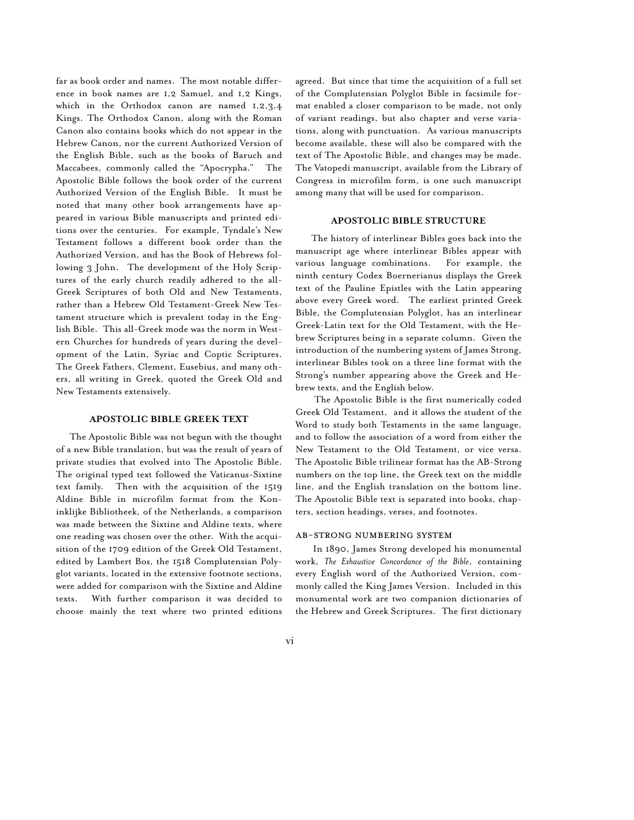far as book order and names. The most notable difference in book names are 1,2 Samuel, and 1,2 Kings, which in the Orthodox canon are named 1,2,3,4 Kings. The Orthodox Canon, along with the Roman Canon also contains books which do not appear in the Hebrew Canon, nor the current Authorized Version of the English Bible, such as the books of Baruch and Maccabees, commonly called the "Apocrypha." The Apostolic Bible follows the book order of the current Authorized Version of the English Bible. It must be noted that many other book arrangements have appeared in various Bible manuscripts and printed editions over the centuries. For example, Tyndale's New Testament follows a different book order than the Authorized Version, and has the Book of Hebrews following 3 John. The development of the Holy Scriptures of the early church readily adhered to the all-Greek Scriptures of both Old and New Testaments, rather than a Hebrew Old Testament-Greek New Testament structure which is prevalent today in the English Bible. This all-Greek mode was the norm in Western Churches for hundreds of years during the development of the Latin, Syriac and Coptic Scriptures. The Greek Fathers, Clement, Eusebius, and many others, all writing in Greek, quoted the Greek Old and New Testaments extensively.

#### **APOSTOLIC BIBLE GREEK TEXT**

 The Apostolic Bible was not begun with the thought of a new Bible translation, but was the result of years of private studies that evolved into The Apostolic Bible. The original typed text followed the Vaticanus-Sixtine text family. Then with the acquisition of the 1519 Aldine Bible in microfilm format from the Koninklijke Bibliotheek, of the Netherlands, a comparison was made between the Sixtine and Aldine texts, where one reading was chosen over the other. With the acquisition of the 1709 edition of the Greek Old Testament, edited by Lambert Bos, the 1518 Complutensian Polyglot variants, located in the extensive footnote sections, were added for comparison with the Sixtine and Aldine texts. With further comparison it was decided to choose mainly the text where two printed editions agreed. But since that time the acquisition of a full set of the Complutensian Polyglot Bible in facsimile format enabled a closer comparison to be made, not only of variant readings, but also chapter and verse variations, along with punctuation. As various manuscripts become available, these will also be compared with the text of The Apostolic Bible, and changes may be made. The Vatopedi manuscript, available from the Library of Congress in microfilm form, is one such manuscript among many that will be used for comparison.

#### **APOSTOLIC BIBLE STRUCTURE**

 The history of interlinear Bibles goes back into the manuscript age where interlinear Bibles appear with various language combinations. For example, the ninth century Codex Boernerianus displays the Greek text of the Pauline Epistles with the Latin appearing above every Greek word. The earliest printed Greek Bible, the Complutensian Polyglot, has an interlinear Greek-Latin text for the Old Testament, with the Hebrew Scriptures being in a separate column. Given the introduction of the numbering system of James Strong, interlinear Bibles took on a three line format with the Strong's number appearing above the Greek and Hebrew texts, and the English below.

 The Apostolic Bible is the first numerically coded Greek Old Testament, and it allows the student of the Word to study both Testaments in the same language, and to follow the association of a word from either the New Testament to the Old Testament, or vice versa. The Apostolic Bible trilinear format has the AB-Strong numbers on the top line, the Greek text on the middle line, and the English translation on the bottom line. The Apostolic Bible text is separated into books, chapters, section headings, verses, and footnotes.

#### AB-Strong Numbering System

 In 1890, James Strong developed his monumental work, *The Exhaustive Concordance of the Bible*, containing every English word of the Authorized Version, commonly called the King James Version. Included in this monumental work are two companion dictionaries of the Hebrew and Greek Scriptures. The first dictionary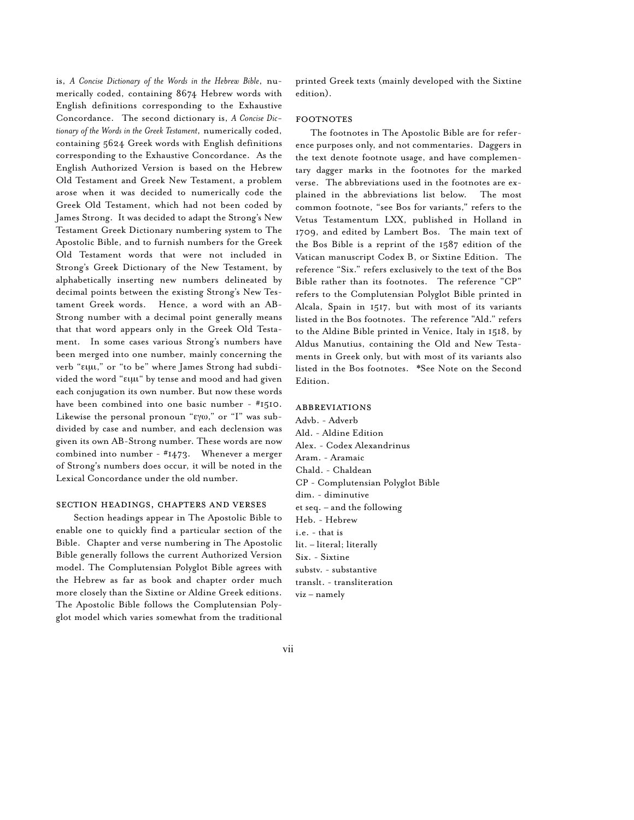is, *A Concise Dictionary of the Words in the Hebrew Bible*, numerically coded, containing 8674 Hebrew words with English definitions corresponding to the Exhaustive Concordance. The second dictionary is, *A Concise Dictionary of the Words in the Greek Testament*, numerically coded, containing 5624 Greek words with English definitions corresponding to the Exhaustive Concordance. As the English Authorized Version is based on the Hebrew Old Testament and Greek New Testament, a problem arose when it was decided to numerically code the Greek Old Testament, which had not been coded by James Strong. It was decided to adapt the Strong's New Testament Greek Dictionary numbering system to The Apostolic Bible, and to furnish numbers for the Greek Old Testament words that were not included in Strong's Greek Dictionary of the New Testament, by alphabetically inserting new numbers delineated by decimal points between the existing Strong's New Testament Greek words. Hence, a word with an AB-Strong number with a decimal point generally means that that word appears only in the Greek Old Testament. In some cases various Strong's numbers have been merged into one number, mainly concerning the verb "ειµι," or "to be" where James Strong had subdivided the word "ειµι" by tense and mood and had given each conjugation its own number. But now these words have been combined into one basic number - #1510. Likewise the personal pronoun "εγω," or "I" was subdivided by case and number, and each declension was given its own AB-Strong number. These words are now combined into number - #1473. Whenever a merger of Strong's numbers does occur, it will be noted in the Lexical Concordance under the old number.

#### section headings, chapters and verses

 Section headings appear in The Apostolic Bible to enable one to quickly find a particular section of the Bible. Chapter and verse numbering in The Apostolic Bible generally follows the current Authorized Version model. The Complutensian Polyglot Bible agrees with the Hebrew as far as book and chapter order much more closely than the Sixtine or Aldine Greek editions. The Apostolic Bible follows the Complutensian Polyglot model which varies somewhat from the traditional printed Greek texts (mainly developed with the Sixtine edition).

#### **FOOTNOTES**

 The footnotes in The Apostolic Bible are for reference purposes only, and not commentaries. Daggers in the text denote footnote usage, and have complementary dagger marks in the footnotes for the marked verse. The abbreviations used in the footnotes are explained in the abbreviations list below. The most common footnote, "see Bos for variants," refers to the Vetus Testamentum LXX, published in Holland in 1709, and edited by Lambert Bos. The main text of the Bos Bible is a reprint of the 1587 edition of the Vatican manuscript Codex B, or Sixtine Edition. The reference "Six." refers exclusively to the text of the Bos Bible rather than its footnotes. The reference "CP" refers to the Complutensian Polyglot Bible printed in Alcala, Spain in 1517, but with most of its variants listed in the Bos footnotes. The reference "Ald." refers to the Aldine Bible printed in Venice, Italy in 1518, by Aldus Manutius, containing the Old and New Testaments in Greek only, but with most of its variants also listed in the Bos footnotes. \*See Note on the Second Edition.

#### abbreviations

- Advb. Adverb Ald. - Aldine Edition Alex. - Codex Alexandrinus Aram. - Aramaic Chald. - Chaldean CP - Complutensian Polyglot Bible dim. - diminutive et seq. – and the following Heb. - Hebrew i.e. - that is lit. – literal; literally Six. - Sixtine substv. - substantive translt. - transliteration viz – namely
- vii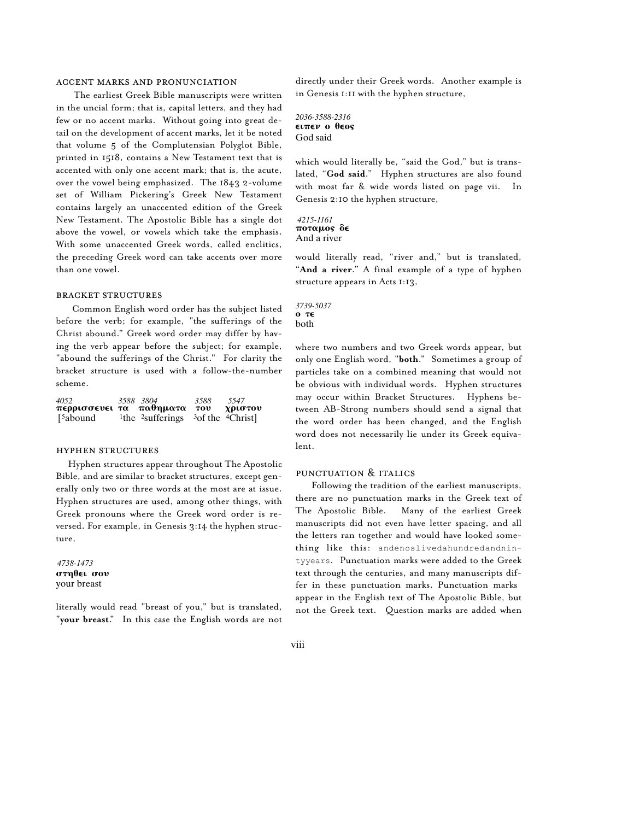#### accent marks and pronunciation

 The earliest Greek Bible manuscripts were written in the uncial form; that is, capital letters, and they had few or no accent marks. Without going into great detail on the development of accent marks, let it be noted that volume 5 of the Complutensian Polyglot Bible, printed in 1518, contains a New Testament text that is accented with only one accent mark; that is, the acute, over the vowel being emphasized. The 1843 2-volume set of William Pickering's Greek New Testament contains largely an unaccented edition of the Greek New Testament. The Apostolic Bible has a single dot above the vowel, or vowels which take the emphasis. With some unaccented Greek words, called enclitics, the preceding Greek word can take accents over more than one vowel.

#### bracket structures

 Common English word order has the subject listed before the verb; for example, "the sufferings of the Christ abound." Greek word order may differ by having the verb appear before the subject; for example, "abound the sufferings of the Christ." For clarity the bracket structure is used with a follow-the-number scheme.

| 4052                    | 3588 3804                                                               | 3588       | 5547    |
|-------------------------|-------------------------------------------------------------------------|------------|---------|
| περρισσενει τα παθηματα |                                                                         | <b>70υ</b> | χριστου |
| [ <sup>5</sup> abound]  | <sup>1</sup> the <sup>2</sup> sufferings $3$ of the <sup>4</sup> Christ |            |         |

#### hyphen structures

 Hyphen structures appear throughout The Apostolic Bible, and are similar to bracket structures, except generally only two or three words at the most are at issue. Hyphen structures are used, among other things, with Greek pronouns where the Greek word order is reversed. For example, in Genesis 3:14 the hyphen structure,

*4738-1473* στηθει σου your breast

literally would read "breast of you," but is translated, "**your breast**." In this case the English words are not directly under their Greek words. Another example is in Genesis 1:11 with the hyphen structure,

*2036-3588-2316*  $\epsilon$ ιπεν ο θεος God said

which would literally be, "said the God," but is translated, "**God said**." Hyphen structures are also found with most far & wide words listed on page vii. In Genesis 2:10 the hyphen structure,

 *4215-1161* ποταμος δε And a river

would literally read, "river and," but is translated, "**And a river**." A final example of a type of hyphen structure appears in Acts 1:13,

*3739-5037* o te both

where two numbers and two Greek words appear, but only one English word, "**both**." Sometimes a group of particles take on a combined meaning that would not be obvious with individual words. Hyphen structures may occur within Bracket Structures. Hyphens between AB-Strong numbers should send a signal that the word order has been changed, and the English word does not necessarily lie under its Greek equivalent.

#### punctuation & italics

 Following the tradition of the earliest manuscripts, there are no punctuation marks in the Greek text of The Apostolic Bible. Many of the earliest Greek manuscripts did not even have letter spacing, and all the letters ran together and would have looked something like this: andenoslivedahundredandnintyyears. Punctuation marks were added to the Greek text through the centuries, and many manuscripts differ in these punctuation marks. Punctuation marks appear in the English text of The Apostolic Bible, but not the Greek text. Question marks are added when

viii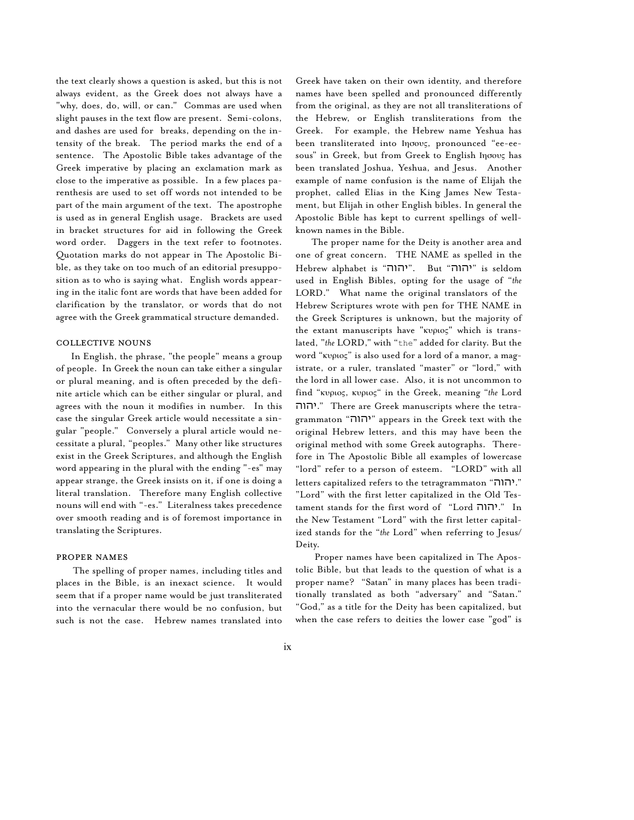the text clearly shows a question is asked, but this is not always evident, as the Greek does not always have a "why, does, do, will, or can." Commas are used when slight pauses in the text flow are present. Semi-colons, and dashes are used for breaks, depending on the intensity of the break. The period marks the end of a sentence. The Apostolic Bible takes advantage of the Greek imperative by placing an exclamation mark as close to the imperative as possible. In a few places parenthesis are used to set off words not intended to be part of the main argument of the text. The apostrophe is used as in general English usage. Brackets are used in bracket structures for aid in following the Greek word order. Daggers in the text refer to footnotes. Quotation marks do not appear in The Apostolic Bible, as they take on too much of an editorial presupposition as to who is saying what. English words appearing in the italic font are words that have been added for clarification by the translator, or words that do not agree with the Greek grammatical structure demanded.

## collective nouns

 In English, the phrase, "the people" means a group of people. In Greek the noun can take either a singular or plural meaning, and is often preceded by the definite article which can be either singular or plural, and agrees with the noun it modifies in number. In this case the singular Greek article would necessitate a singular "people." Conversely a plural article would necessitate a plural, "peoples." Many other like structures exist in the Greek Scriptures, and although the English word appearing in the plural with the ending "-es" may appear strange, the Greek insists on it, if one is doing a literal translation. Therefore many English collective nouns will end with "-es." Literalness takes precedence over smooth reading and is of foremost importance in translating the Scriptures.

#### proper names

 The spelling of proper names, including titles and places in the Bible, is an inexact science. It would seem that if a proper name would be just transliterated into the vernacular there would be no confusion, but such is not the case. Hebrew names translated into Greek have taken on their own identity, and therefore names have been spelled and pronounced differently from the original, as they are not all transliterations of the Hebrew, or English transliterations from the Greek. For example, the Hebrew name Yeshua has been transliterated into Ιησους, pronounced "ee-eesous" in Greek, but from Greek to English Ιησους has been translated Joshua, Yeshua, and Jesus. Another example of name confusion is the name of Elijah the prophet, called Elias in the King James New Testament, but Elijah in other English bibles. In general the Apostolic Bible has kept to current spellings of wellknown names in the Bible.

 The proper name for the Deity is another area and one of great concern. THE NAME as spelled in the Hebrew alphabet is "יהוה". But "יהוה "is seldom used in English Bibles, opting for the usage of "*the* LORD." What name the original translators of the Hebrew Scriptures wrote with pen for THE NAME in the Greek Scriptures is unknown, but the majority of the extant manuscripts have "κυριος" which is translated, "*the* LORD," with "the" added for clarity. But the word "κυριος" is also used for a lord of a manor, a magistrate, or a ruler, translated "master" or "lord," with the lord in all lower case. Also, it is not uncommon to find "κυριος, κυριος" in the Greek, meaning "*the* Lord יהוה. "There are Greek manuscripts where the tetragrammaton "יהוה "appears in the Greek text with the original Hebrew letters, and this may have been the original method with some Greek autographs. Therefore in The Apostolic Bible all examples of lowercase "lord" refer to a person of esteem. "LORD" with all letters capitalized refers to the tetragrammaton ".יהוה." "Lord" with the first letter capitalized in the Old Testament stands for the first word of "Lord יהוה. "In the New Testament "Lord" with the first letter capitalized stands for the "*the* Lord" when referring to Jesus/ Deity.

 Proper names have been capitalized in The Apostolic Bible, but that leads to the question of what is a proper name? "Satan" in many places has been traditionally translated as both "adversary" and "Satan." "God," as a title for the Deity has been capitalized, but when the case refers to deities the lower case "god" is

ix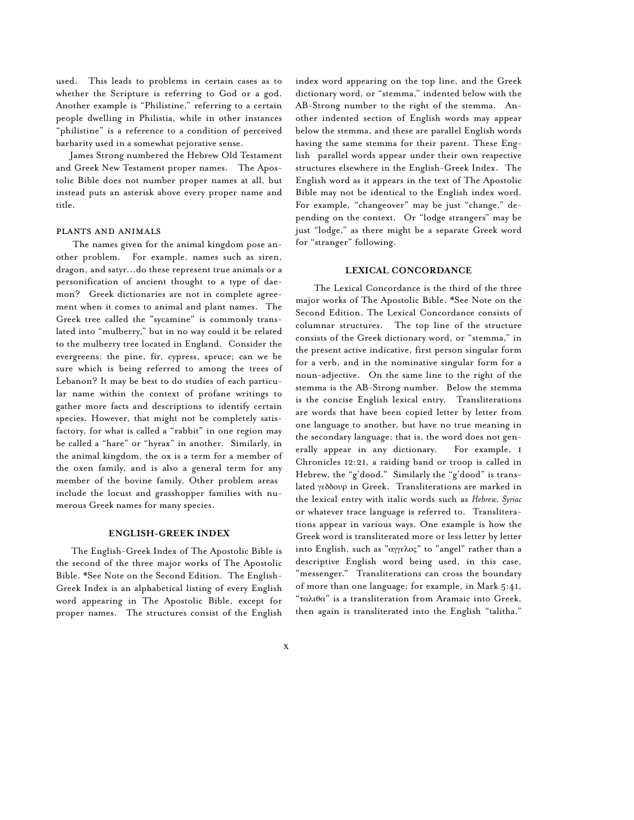used. This leads to problems in certain cases as to whether the Scripture is referring to God or a god. Another example is "Philistine," referring to a certain people dwelling in Philistia, while in other instances "philistine" is a reference to a condition of perceived barbarity used in a somewhat pejorative sense.

 James Strong numbered the Hebrew Old Testament and Greek New Testament proper names. The Apostolic Bible does not number proper names at all, but instead puts an asterisk above every proper name and title.

#### plants and animals

 The names given for the animal kingdom pose another problem. For example, names such as siren, dragon, and satyr...do these represent true animals or a personification of ancient thought to a type of daemon? Greek dictionaries are not in complete agreement when it comes to animal and plant names. The Greek tree called the "sycamine" is commonly translated into "mulberry," but in no way could it be related to the mulberry tree located in England. Consider the evergreens: the pine, fir, cypress, spruce; can we be sure which is being referred to among the trees of Lebanon? It may be best to do studies of each particular name within the context of profane writings to gather more facts and descriptions to identify certain species. However, that might not be completely satisfactory, for what is called a "rabbit" in one region may be called a "hare" or "hyrax" in another. Similarly, in the animal kingdom, the ox is a term for a member of the oxen family, and is also a general term for any member of the bovine family. Other problem areas include the locust and grasshopper families with numerous Greek names for many species.

#### **ENGLISH-GREEK INDEX**

 The English-Greek Index of The Apostolic Bible is the second of the three major works of The Apostolic Bible. \*See Note on the Second Edition. The English-Greek Index is an alphabetical listing of every English word appearing in The Apostolic Bible, except for proper names. The structures consist of the English

index word appearing on the top line, and the Greek dictionary word, or "stemma," indented below with the AB-Strong number to the right of the stemma. Another indented section of English words may appear below the stemma, and these are parallel English words having the same stemma for their parent. These English parallel words appear under their own respective structures elsewhere in the English-Greek Index. The English word as it appears in the text of The Apostolic Bible may not be identical to the English index word. For example, "changeover" may be just "change," depending on the context. Or "lodge strangers" may be just "lodge," as there might be a separate Greek word for "stranger" following.

#### **LEXICAL CONCORDANCE**

 The Lexical Concordance is the third of the three major works of The Apostolic Bible. \*See Note on the Second Edition. The Lexical Concordance consists of columnar structures. The top line of the structure consists of the Greek dictionary word, or "stemma," in the present active indicative, first person singular form for a verb, and in the nominative singular form for a noun-adjective. On the same line to the right of the stemma is the AB-Strong number. Below the stemma is the concise English lexical entry. Transliterations are words that have been copied letter by letter from one language to another, but have no true meaning in the secondary language; that is, the word does not generally appear in any dictionary. For example, 1 Chronicles 12:21, a raiding band or troop is called in Hebrew, the "g'dood." Similarly the "g'dood" is translated γεδδουρ in Greek. Transliterations are marked in the lexical entry with italic words such as *Hebrew, Syriac* or whatever trace language is referred to. Transliterations appear in various ways. One example is how the Greek word is transliterated more or less letter by letter into English, such as "αγγελος" to "angel" rather than a descriptive English word being used, in this case, "messenger." Transliterations can cross the boundary of more than one language; for example, in Mark 5:41, "ταλιθα" is a transliteration from Aramaic into Greek, then again is transliterated into the English "talitha."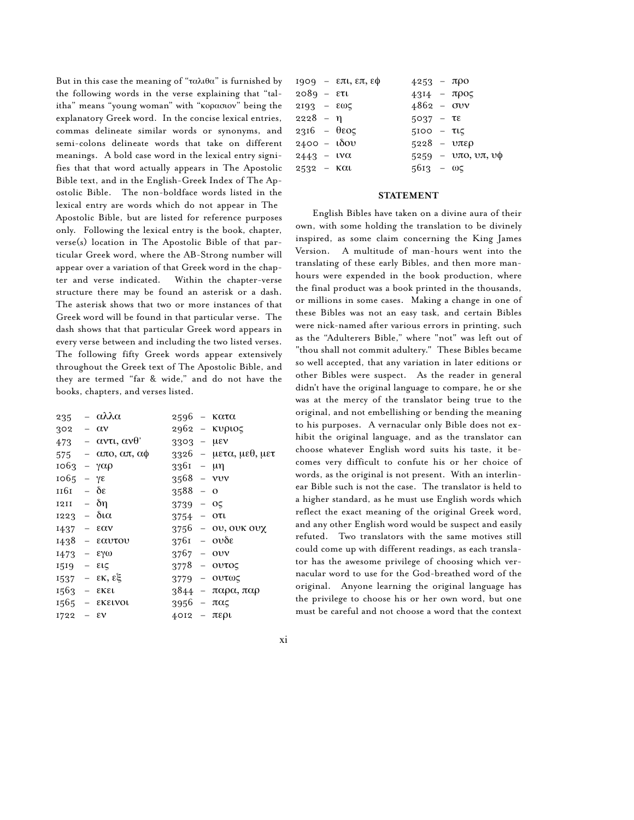But in this case the meaning of "ταλιθα" is furnished by the following words in the verse explaining that "talitha" means "young woman" with "κορασιον" being the explanatory Greek word. In the concise lexical entries, commas delineate similar words or synonyms, and semi-colons delineate words that take on different meanings. A bold case word in the lexical entry signifies that that word actually appears in The Apostolic Bible text, and in the English-Greek Index of The Apostolic Bible. The non-boldface words listed in the lexical entry are words which do not appear in The Apostolic Bible, but are listed for reference purposes only. Following the lexical entry is the book, chapter, verse(s) location in The Apostolic Bible of that particular Greek word, where the AB-Strong number will appear over a variation of that Greek word in the chapter and verse indicated. Within the chapter-verse structure there may be found an asterisk or a dash. The asterisk shows that two or more instances of that Greek word will be found in that particular verse. The dash shows that that particular Greek word appears in every verse between and including the two listed verses. The following fifty Greek words appear extensively throughout the Greek text of The Apostolic Bible, and they are termed "far & wide," and do not have the books, chapters, and verses listed.

|  |                                                                                                                                                                                                                                                                                                                                                                                                                                                                                        | 3326 - μετα, μεθ, μετ                                                                                                                                                                                                                                                                          |
|--|----------------------------------------------------------------------------------------------------------------------------------------------------------------------------------------------------------------------------------------------------------------------------------------------------------------------------------------------------------------------------------------------------------------------------------------------------------------------------------------|------------------------------------------------------------------------------------------------------------------------------------------------------------------------------------------------------------------------------------------------------------------------------------------------|
|  |                                                                                                                                                                                                                                                                                                                                                                                                                                                                                        |                                                                                                                                                                                                                                                                                                |
|  |                                                                                                                                                                                                                                                                                                                                                                                                                                                                                        |                                                                                                                                                                                                                                                                                                |
|  |                                                                                                                                                                                                                                                                                                                                                                                                                                                                                        |                                                                                                                                                                                                                                                                                                |
|  |                                                                                                                                                                                                                                                                                                                                                                                                                                                                                        |                                                                                                                                                                                                                                                                                                |
|  |                                                                                                                                                                                                                                                                                                                                                                                                                                                                                        |                                                                                                                                                                                                                                                                                                |
|  |                                                                                                                                                                                                                                                                                                                                                                                                                                                                                        | $3756 - \text{ov}, \text{ov} \text{cov} \text{cov}$                                                                                                                                                                                                                                            |
|  |                                                                                                                                                                                                                                                                                                                                                                                                                                                                                        |                                                                                                                                                                                                                                                                                                |
|  |                                                                                                                                                                                                                                                                                                                                                                                                                                                                                        |                                                                                                                                                                                                                                                                                                |
|  |                                                                                                                                                                                                                                                                                                                                                                                                                                                                                        |                                                                                                                                                                                                                                                                                                |
|  |                                                                                                                                                                                                                                                                                                                                                                                                                                                                                        |                                                                                                                                                                                                                                                                                                |
|  |                                                                                                                                                                                                                                                                                                                                                                                                                                                                                        | 3844 - παρα, παρ                                                                                                                                                                                                                                                                               |
|  |                                                                                                                                                                                                                                                                                                                                                                                                                                                                                        |                                                                                                                                                                                                                                                                                                |
|  |                                                                                                                                                                                                                                                                                                                                                                                                                                                                                        |                                                                                                                                                                                                                                                                                                |
|  | 235 - $\alpha\lambda\lambda\alpha$<br>$302 - \alpha v$<br>$473 - \alpha \nu \tau \iota, \alpha \nu \theta$<br>$575 - \alpha \pi$ , απ, αφ<br>$1063 - γαρ$<br>$1065 - \gamma \epsilon$<br>$1161 - \delta \epsilon$<br>1211 – $\delta \eta$<br>$1223 - \delta\alpha$<br>$1437 - \epsilon\alpha v$<br>1438 - εαυτου<br>$1473 - \epsilon y \omega$<br>$1519 - \varepsilon \iota \zeta$<br>$1537 - \epsilon \kappa, \epsilon \xi$<br>1563 - εκει<br>$1565 - \epsilon$ KELVOL<br>$I722 - EV$ | $2596 - \kappa\alpha\tau\alpha$<br>$2962 -$ KV $\rho$ IOS<br>$3303 - \mu\epsilon v$<br>3361 - μη<br>$3568 - vvv$<br>$3588 - 0$<br>$3739 - 05$<br>$3754 - 071$<br>$376I - 000E$<br>$3767 - 00v$<br>$3778 - 00000$<br>$3779 - 00$<br>$3956 - \pi\alpha\zeta$<br>$40I2 - \pi \epsilon \rho \iota$ |

|                     | $1909 - \epsilon \pi t$ , $\epsilon \pi$ , $\epsilon \phi$ | $4253 - \pi$ po        |                              |
|---------------------|------------------------------------------------------------|------------------------|------------------------------|
| 2089 - ετι          |                                                            |                        | $4314 - \pi\rho o \zeta$     |
| $2193 - E005$       |                                                            | $4862 - 00v$           |                              |
| $2228 - \eta$       |                                                            | $5037 - \tau \epsilon$ |                              |
| 2316 – $\theta$ εος |                                                            | $5100 - T15$           |                              |
| $2400 - 1000$       |                                                            |                        | $5228 - 0 \pi \epsilon \rho$ |
| $2443 - 100$        |                                                            |                        | $5259 - 0\pi 0, \pi 0, \pi$  |
| $2532 - KOL$        |                                                            | $5613 - \omega$        |                              |

#### **STATEMENT**

 English Bibles have taken on a divine aura of their own, with some holding the translation to be divinely inspired, as some claim concerning the King James Version. A multitude of man-hours went into the translating of these early Bibles, and then more manhours were expended in the book production, where the final product was a book printed in the thousands, or millions in some cases. Making a change in one of these Bibles was not an easy task, and certain Bibles were nick-named after various errors in printing, such as the "Adulterers Bible," where "not" was left out of "thou shall not commit adultery." These Bibles became so well accepted, that any variation in later editions or other Bibles were suspect. As the reader in general didn't have the original language to compare, he or she was at the mercy of the translator being true to the original, and not embellishing or bending the meaning to his purposes. A vernacular only Bible does not exhibit the original language, and as the translator can choose whatever English word suits his taste, it becomes very difficult to confute his or her choice of words, as the original is not present. With an interlinear Bible such is not the case. The translator is held to a higher standard, as he must use English words which reflect the exact meaning of the original Greek word, and any other English word would be suspect and easily refuted. Two translators with the same motives still could come up with different readings, as each translator has the awesome privilege of choosing which vernacular word to use for the God-breathed word of the original. Anyone learning the original language has the privilege to choose his or her own word, but one must be careful and not choose a word that the context

xi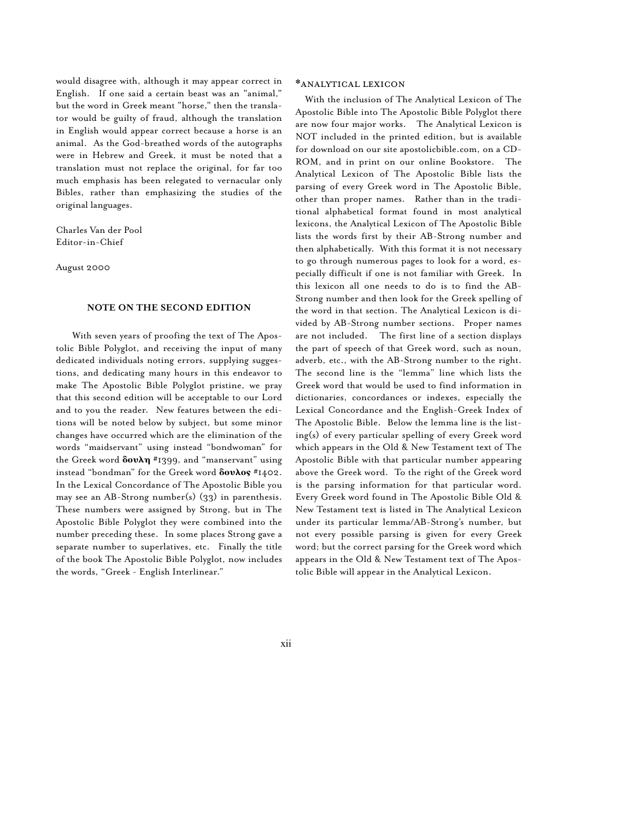would disagree with, although it may appear correct in English. If one said a certain beast was an "animal," but the word in Greek meant "horse," then the translator would be guilty of fraud, although the translation in English would appear correct because a horse is an animal. As the God-breathed words of the autographs were in Hebrew and Greek, it must be noted that a translation must not replace the original, for far too much emphasis has been relegated to vernacular only Bibles, rather than emphasizing the studies of the original languages.

Charles Van der Pool Editor-in-Chief

August 2000

## **NOTE ON THE SECOND EDITION**

 With seven years of proofing the text of The Apostolic Bible Polyglot, and receiving the input of many dedicated individuals noting errors, supplying suggestions, and dedicating many hours in this endeavor to make The Apostolic Bible Polyglot pristine, we pray that this second edition will be acceptable to our Lord and to you the reader. New features between the editions will be noted below by subject, but some minor changes have occurred which are the elimination of the words "maidservant" using instead "bondwoman" for the Greek word  $\delta$ ov $\lambda \eta$  #1399, and "manservant" using instead "bondman" for the Greek word  $\delta$ ov $\lambda$ os #1402. In the Lexical Concordance of The Apostolic Bible you may see an AB-Strong number(s)  $(33)$  in parenthesis. These numbers were assigned by Strong, but in The Apostolic Bible Polyglot they were combined into the number preceding these. In some places Strong gave a separate number to superlatives, etc. Finally the title of the book The Apostolic Bible Polyglot, now includes the words, "Greek - English Interlinear."

## \*analytical lexicon

 With the inclusion of The Analytical Lexicon of The Apostolic Bible into The Apostolic Bible Polyglot there are now four major works. The Analytical Lexicon is NOT included in the printed edition, but is available for download on our site apostolicbible.com, on a CD-ROM, and in print on our online Bookstore. The Analytical Lexicon of The Apostolic Bible lists the parsing of every Greek word in The Apostolic Bible, other than proper names. Rather than in the traditional alphabetical format found in most analytical lexicons, the Analytical Lexicon of The Apostolic Bible lists the words first by their AB-Strong number and then alphabetically. With this format it is not necessary to go through numerous pages to look for a word, especially difficult if one is not familiar with Greek. In this lexicon all one needs to do is to find the AB-Strong number and then look for the Greek spelling of the word in that section. The Analytical Lexicon is divided by AB-Strong number sections. Proper names are not included. The first line of a section displays the part of speech of that Greek word, such as noun, adverb, etc., with the AB-Strong number to the right. The second line is the "lemma" line which lists the Greek word that would be used to find information in dictionaries, concordances or indexes, especially the Lexical Concordance and the English-Greek Index of The Apostolic Bible. Below the lemma line is the listing(s) of every particular spelling of every Greek word which appears in the Old & New Testament text of The Apostolic Bible with that particular number appearing above the Greek word. To the right of the Greek word is the parsing information for that particular word. Every Greek word found in The Apostolic Bible Old & New Testament text is listed in The Analytical Lexicon under its particular lemma/AB-Strong's number, but not every possible parsing is given for every Greek word; but the correct parsing for the Greek word which appears in the Old & New Testament text of The Apostolic Bible will appear in the Analytical Lexicon.

xii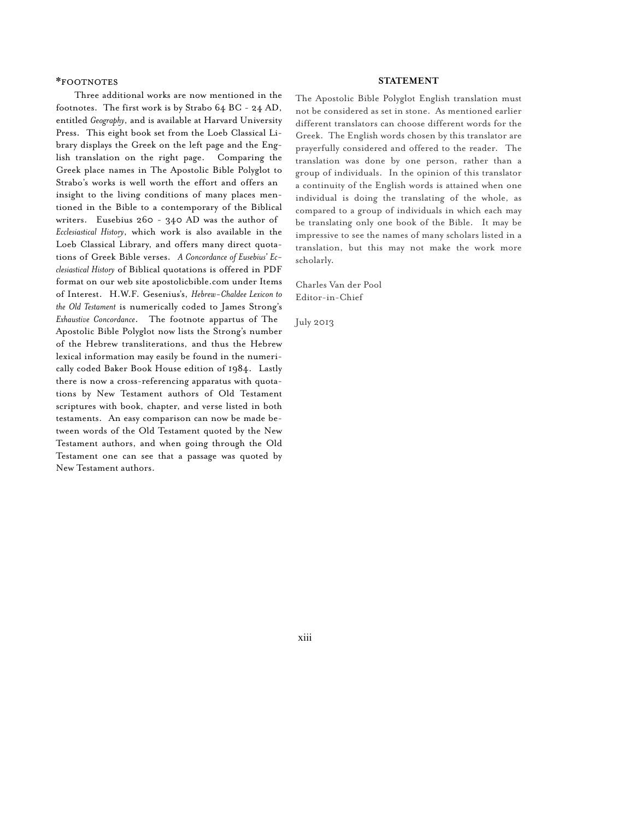### \*footnotes

 Three additional works are now mentioned in the footnotes. The first work is by Strabo 64 BC - 24 AD, entitled *Geography*, and is available at Harvard University Press. This eight book set from the Loeb Classical Library displays the Greek on the left page and the English translation on the right page. Comparing the Greek place names in The Apostolic Bible Polyglot to Strabo's works is well worth the effort and offers an insight to the living conditions of many places mentioned in the Bible to a contemporary of the Biblical writers. Eusebius 260 - 340 AD was the author of *Ecclesiastical History*, which work is also available in the Loeb Classical Library, and offers many direct quotations of Greek Bible verses. *A Concordance of Eusebius' Ecclesiastical History* of Biblical quotations is offered in PDF format on our web site apostolicbible.com under Items of Interest. H.W.F. Gesenius's, *Hebrew-Chaldee Lexicon to the Old Testament* is numerically coded to James Strong's *Exhaustive Concordance*. The footnote appartus of The Apostolic Bible Polyglot now lists the Strong's number of the Hebrew transliterations, and thus the Hebrew lexical information may easily be found in the numerically coded Baker Book House edition of 1984. Lastly there is now a cross-referencing apparatus with quotations by New Testament authors of Old Testament scriptures with book, chapter, and verse listed in both testaments. An easy comparison can now be made between words of the Old Testament quoted by the New Testament authors, and when going through the Old Testament one can see that a passage was quoted by New Testament authors.

## **STATEMENT**

The Apostolic Bible Polyglot English translation must not be considered as set in stone. As mentioned earlier different translators can choose different words for the Greek. The English words chosen by this translator are prayerfully considered and offered to the reader. The translation was done by one person, rather than a group of individuals. In the opinion of this translator a continuity of the English words is attained when one individual is doing the translating of the whole, as compared to a group of individuals in which each may be translating only one book of the Bible. It may be impressive to see the names of many scholars listed in a translation, but this may not make the work more scholarly.

Charles Van der Pool Editor-in-Chief

July 2013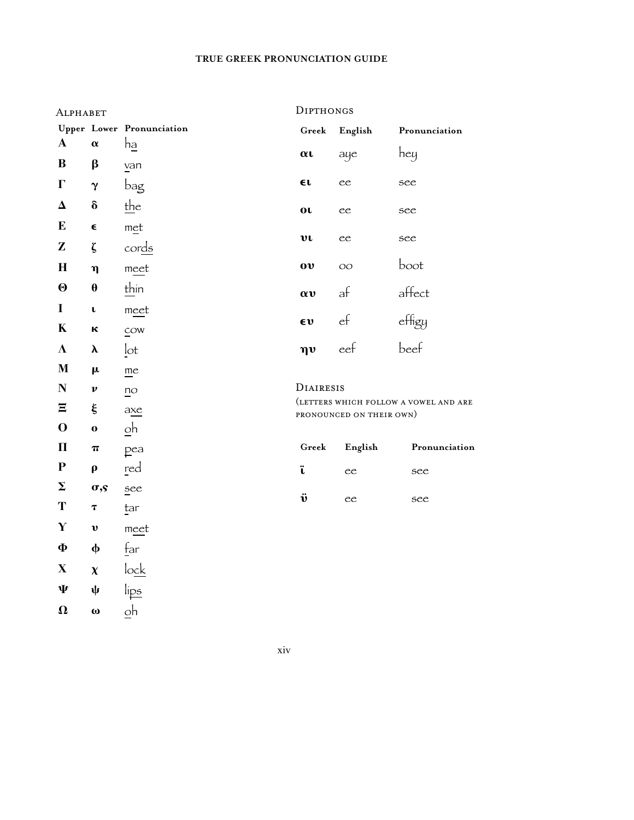# **TRUE GREEK PRONUNCIATION GUIDE**

| ALPHABET              |                         |                           | <b>DIPTHONGS</b>                                                  |            |               |  |  |
|-----------------------|-------------------------|---------------------------|-------------------------------------------------------------------|------------|---------------|--|--|
|                       |                         | Upper Lower Pronunciation | Greek                                                             | English    | Pronunciation |  |  |
| $\mathbf A$           | $\pmb{\alpha}$          | $h\underline{a}$          | $\alpha$                                                          | aye        | hey           |  |  |
| $\bf{B}$              | β                       | van                       |                                                                   |            |               |  |  |
| $\Gamma$              | $\gamma$                | bag                       | €l                                                                | ee         | see           |  |  |
| $\Delta$              | $\delta$                | the                       | $\mathbf{0}\mathbf{t}$                                            | ee         | see           |  |  |
| E                     | $\epsilon$              | $\mathsf{met}$            |                                                                   |            |               |  |  |
| Z                     | ζ                       | cords                     | $\upsilon\upsilon$                                                | ee         | see           |  |  |
| $\mathbf H$           | η                       | meet                      | $\mathbf{O}\mathbf{V}$                                            | OO         | boot          |  |  |
| $\boldsymbol{\Theta}$ | $\pmb{\theta}$          | thin                      | $\alpha \upsilon$                                                 | af         | affect        |  |  |
| $\mathbf I$           | L                       | meet                      |                                                                   | $\epsilon$ | effigy        |  |  |
| $\mathbf K$           | К                       | COW                       | $\boldsymbol{\epsilon}\boldsymbol{v}$                             |            |               |  |  |
| $\Lambda$             | λ                       | $\frac{1}{\alpha}$        | $\eta v$                                                          | eef        | beef          |  |  |
| M                     | μ                       | me                        |                                                                   |            |               |  |  |
| N                     | $\boldsymbol{\nu}$      | no                        | DIAIRESIS                                                         |            |               |  |  |
| Ξ                     | ξ                       | axe                       | (LETTERS WHICH FOLLOW A VOWEL AND ARE<br>PRONOUNCED ON THEIR OWN) |            |               |  |  |
| $\mathbf 0$           | $\mathbf 0$             | oh                        |                                                                   |            |               |  |  |
| $\mathbf \Pi$         | $\boldsymbol{\pi}$      | pea                       | Greek                                                             | English    | Pronunciation |  |  |
| ${\bf P}$             | $\pmb{\rho}$            | red                       | ï                                                                 | ee         | see           |  |  |
| $\pmb{\Sigma}$        | $\sigma$ ,s             | see                       | $\ddot{\mathbf{v}}$                                               | ee         | see           |  |  |
| T                     | T                       | tar                       |                                                                   |            |               |  |  |
| $\mathbf Y$           | $\boldsymbol{\upsilon}$ | meet                      |                                                                   |            |               |  |  |
| Ф                     | $\phi$                  | far                       |                                                                   |            |               |  |  |
| $\mathbf X$           | $\chi$                  | $\log k$                  |                                                                   |            |               |  |  |
| Ψ                     | ψ                       | líps                      |                                                                   |            |               |  |  |
| $\Omega$              | ω                       | oh                        |                                                                   |            |               |  |  |

xiv